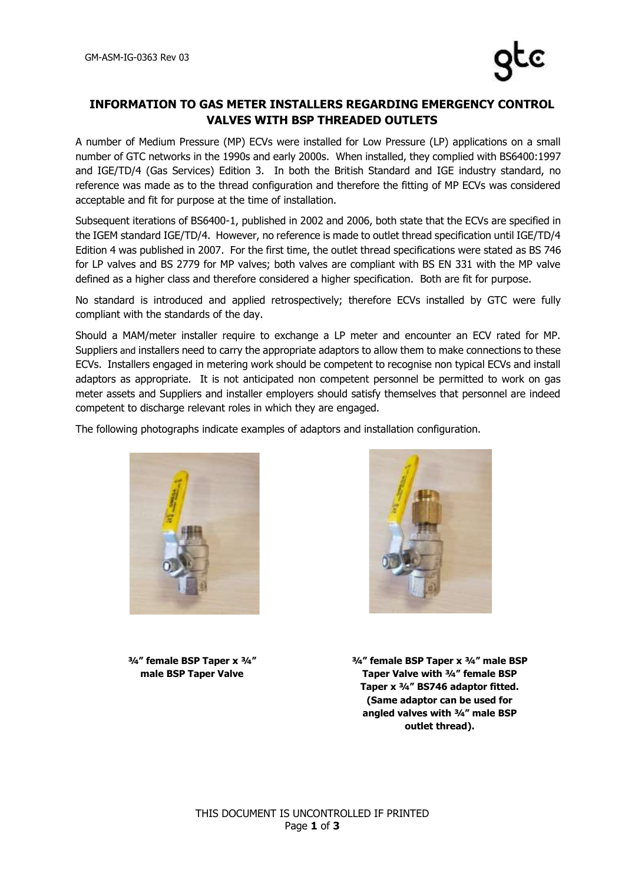## **INFORMATION TO GAS METER INSTALLERS REGARDING EMERGENCY CONTROL VALVES WITH BSP THREADED OUTLETS**

A number of Medium Pressure (MP) ECVs were installed for Low Pressure (LP) applications on a small number of GTC networks in the 1990s and early 2000s. When installed, they complied with BS6400:1997 and IGE/TD/4 (Gas Services) Edition 3. In both the British Standard and IGE industry standard, no reference was made as to the thread configuration and therefore the fitting of MP ECVs was considered acceptable and fit for purpose at the time of installation.

Subsequent iterations of BS6400-1, published in 2002 and 2006, both state that the ECVs are specified in the IGEM standard IGE/TD/4. However, no reference is made to outlet thread specification until IGE/TD/4 Edition 4 was published in 2007. For the first time, the outlet thread specifications were stated as BS 746 for LP valves and BS 2779 for MP valves; both valves are compliant with BS EN 331 with the MP valve defined as a higher class and therefore considered a higher specification. Both are fit for purpose.

No standard is introduced and applied retrospectively; therefore ECVs installed by GTC were fully compliant with the standards of the day.

Should a MAM/meter installer require to exchange a LP meter and encounter an ECV rated for MP. Suppliers and installers need to carry the appropriate adaptors to allow them to make connections to these ECVs. Installers engaged in metering work should be competent to recognise non typical ECVs and install adaptors as appropriate. It is not anticipated non competent personnel be permitted to work on gas meter assets and Suppliers and installer employers should satisfy themselves that personnel are indeed competent to discharge relevant roles in which they are engaged.

The following photographs indicate examples of adaptors and installation configuration.



**¾" female BSP Taper x ¾" male BSP Taper Valve**



**¾" female BSP Taper x ¾" male BSP Taper Valve with ¾" female BSP Taper x ¾" BS746 adaptor fitted. (Same adaptor can be used for angled valves with ¾" male BSP outlet thread).**

THIS DOCUMENT IS UNCONTROLLED IF PRINTED Page **1** of **3**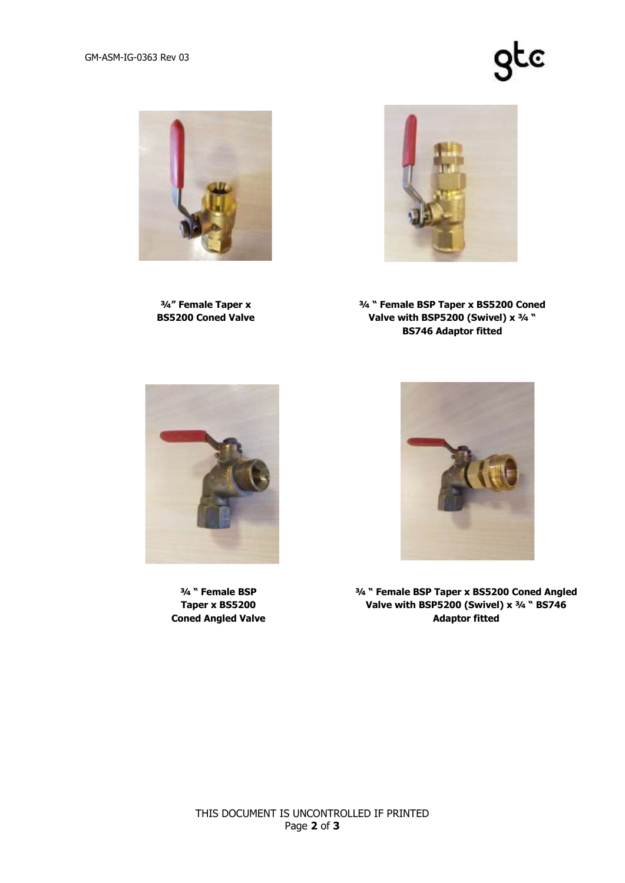## gtc



**¾" Female Taper x BS5200 Coned Valve**



**¾ " Female BSP Taper x BS5200 Coned Valve with BSP5200 (Swivel) x ¾ " BS746 Adaptor fitted**



**¾ " Female BSP Taper x BS5200 Coned Angled Valve**



**¾ " Female BSP Taper x BS5200 Coned Angled Valve with BSP5200 (Swivel) x ¾ " BS746 Adaptor fitted**